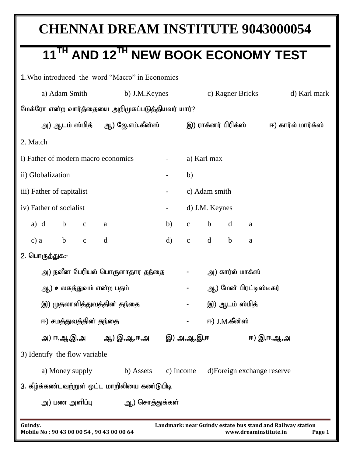# **11TH AND 12TH NEW BOOK ECONOMY TEST**

| 1. Who introduced the word "Macro" in Economics                                                                                                       |                                     |              |              |                     |                  |                        |                             |
|-------------------------------------------------------------------------------------------------------------------------------------------------------|-------------------------------------|--------------|--------------|---------------------|------------------|------------------------|-----------------------------|
| a) Adam Smith                                                                                                                                         | b) J.M.Keynes                       |              |              |                     | c) Ragner Bricks |                        | d) Karl mark                |
| மேக்ரோ என்ற வார்த்தையை அறிமுகப்படுத்தியவர் யார்?                                                                                                      |                                     |              |              |                     |                  |                        |                             |
|                                                                                                                                                       | அ) ஆடம் ஸ்மித்     ஆ) ஜே.எம்.கீன்ஸ் |              |              | இ) ராக்னர் பிரிக்ஸ் |                  |                        | ஈ) கார்ல் மார்க்ஸ்          |
| 2. Match                                                                                                                                              |                                     |              |              |                     |                  |                        |                             |
| i) Father of modern macro economics                                                                                                                   |                                     |              |              | a) Karl max         |                  |                        |                             |
| ii) Globalization                                                                                                                                     |                                     |              | b)           |                     |                  |                        |                             |
| iii) Father of capitalist                                                                                                                             |                                     |              |              | c) Adam smith       |                  |                        |                             |
| iv) Father of socialist                                                                                                                               |                                     |              |              | d) J.M. Keynes      |                  |                        |                             |
| a) d<br>$\mathbf b$<br>$\mathbf C$                                                                                                                    | $\mathbf{a}$                        | b)           | $\mathbf C$  | $\mathbf b$         | d                | $\mathbf a$            |                             |
| $\mathbf b$<br>c) a<br>$\mathbf{C}$                                                                                                                   | d                                   | $\mathbf{d}$ | $\mathbf{C}$ | $\mathbf d$         | $\mathbf b$      | $\mathbf a$            |                             |
| 2. பொருத்துக:-                                                                                                                                        |                                     |              |              |                     |                  |                        |                             |
|                                                                                                                                                       | அ) நவீன பேரியல் பொருளாதார தந்தை     |              |              |                     | அ) கார்ல் மாக்ஸ் |                        |                             |
| ஆ) உலகத்துவம் என்ற பதம்                                                                                                                               |                                     |              | ٠            |                     |                  | ஆ) மேன் பிரட்டிஸ்டீகர் |                             |
| இ) முதலாளித்துவத்தின் தந்தை                                                                                                                           |                                     |              | ٠            |                     | இ) ஆடம் ஸ்மித்   |                        |                             |
| ஈ) சமத்துவத்தின் தந்தை                                                                                                                                |                                     |              |              |                     | ஈ) J.M.கீன்ஸ்    |                        |                             |
|                                                                                                                                                       | அ) ஈ,ஆ,இ,அ ஆ,) இ,ஆ,ஈ,அ இ) அ,ஆ,இ,ஈ   |              |              |                     |                  |                        | ஈ) இ,ஈ,ஆ,அ                  |
| 3) Identify the flow variable                                                                                                                         |                                     |              |              |                     |                  |                        |                             |
| a) Money supply                                                                                                                                       | b) Assets                           |              | c) Income    |                     |                  |                        | d) Foreign exchange reserve |
| 3. கீழ்க்கண்டவற்றுள் ஓட்ட மாறிலியை கண்டுபிடி                                                                                                          |                                     |              |              |                     |                  |                        |                             |
| அ) பண அளிப்பு                                                                                                                                         | ஆ) சொத்துக்கள்                      |              |              |                     |                  |                        |                             |
|                                                                                                                                                       |                                     |              |              |                     |                  |                        |                             |
| Guindy.<br>Landmark: near Guindy estate bus stand and Railway station<br>Mobile No: 90 43 00 00 54, 90 43 00 00 64<br>www.dreaminstitute.in<br>Page 1 |                                     |              |              |                     |                  |                        |                             |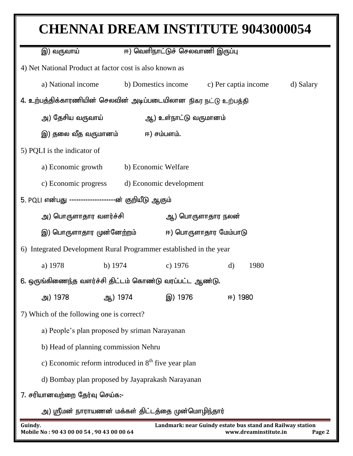| இ) வருவாய்                                                         |                                      | ஈ) வெளிநாட்டுச் செலவாணி இருப்பு |                       |                                                            |  |  |
|--------------------------------------------------------------------|--------------------------------------|---------------------------------|-----------------------|------------------------------------------------------------|--|--|
| 4) Net National Product at factor cost is also known as            |                                      |                                 |                       |                                                            |  |  |
| a) National income b) Domestics income c) Per captia income        |                                      |                                 |                       | d) Salary                                                  |  |  |
| 4. உற்பத்திக்காரணியின் செலவின் அடிப்படையிலான நிகர நட்டு உற்பத்தி   |                                      |                                 |                       |                                                            |  |  |
| அ) தேசிய வருவாய்<br>ஆ) உள்நாட்டு வருமானம்                          |                                      |                                 |                       |                                                            |  |  |
| இ) தலை வீத வருமானம்                                                |                                      | ஈ) சம்பளம்.                     |                       |                                                            |  |  |
| 5) PQLI is the indicator of                                        |                                      |                                 |                       |                                                            |  |  |
| a) Economic growth b) Economic Welfare                             |                                      |                                 |                       |                                                            |  |  |
| c) Economic progress                                               | d) Economic development              |                                 |                       |                                                            |  |  |
| 5. PQLI என்பது ----------------------ன் குறியீடு ஆகும்             |                                      |                                 |                       |                                                            |  |  |
| அ) பொருளாதார வளர்ச்சி                                              |                                      |                                 | ஆ) பொருளாதார நலன்     |                                                            |  |  |
| இ) பொருளாதார முன்னேற்றம்                                           |                                      |                                 | ஈ) பொருளாதார மேம்பாடு |                                                            |  |  |
| 6) Integrated Development Rural Programmer established in the year |                                      |                                 |                       |                                                            |  |  |
| a) 1978                                                            | b) $1974$                            | c) $1976$                       | $\mathbf{d}$          | 1980                                                       |  |  |
| 6. ஒருங்கிணைந்த வளர்ச்சி திட்டம் கொண்டு வரப்பட்ட ஆண்டு.            |                                      |                                 |                       |                                                            |  |  |
| அ) 1978                                                            | ஆ) 1974                              | இ) 1976                         | ஈ) 1980               |                                                            |  |  |
| 7) Which of the following one is correct?                          |                                      |                                 |                       |                                                            |  |  |
| a) People's plan proposed by sriman Narayanan                      |                                      |                                 |                       |                                                            |  |  |
|                                                                    | b) Head of planning commission Nehru |                                 |                       |                                                            |  |  |
| c) Economic reform introduced in $8th$ five year plan              |                                      |                                 |                       |                                                            |  |  |
| d) Bombay plan proposed by Jayaprakash Narayanan                   |                                      |                                 |                       |                                                            |  |  |
| 7. சரியானவற்றை தேர்வு செய்க:-                                      |                                      |                                 |                       |                                                            |  |  |
| அ) ஸ்ரீமன் நாராயணன் மக்கள் திட்டத்தை முன்மொழிந்தார்                |                                      |                                 |                       |                                                            |  |  |
| Guindy.                                                            |                                      |                                 |                       | Landmark: near Guindy estate bus stand and Railway station |  |  |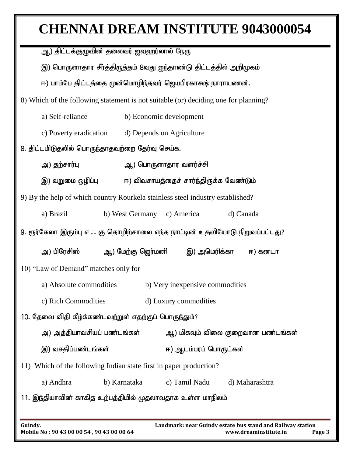| ஆ) திட்டக்குழுவின் தலைவர் ஜவஹர்லால் நேரு                           |                                                                                     |  |  |  |  |
|--------------------------------------------------------------------|-------------------------------------------------------------------------------------|--|--|--|--|
| இ) பொருளாதார சீர்த்திருத்தம் 8வது ஐந்தாண்டு திட்டத்தில் அறிமுகம்   |                                                                                     |  |  |  |  |
| ஈ) பாம்பே திட்டத்தை முன்மொழிந்தவர் ஜெயபிரகாக்ஷ் நாராயணன்.          |                                                                                     |  |  |  |  |
|                                                                    | 8) Which of the following statement is not suitable (or) deciding one for planning? |  |  |  |  |
| a) Self-reliance                                                   | b) Economic development                                                             |  |  |  |  |
|                                                                    | c) Poverty eradication d) Depends on Agriculture                                    |  |  |  |  |
| 8. திட்டமிடுதலில் பொருந்தாதவற்றை தேர்வு செய்க.                     |                                                                                     |  |  |  |  |
| அ) தற்சார்பு                                                       | ஆ) பொருளாதார வளர்ச்சி                                                               |  |  |  |  |
| இ) வறுமை ஒழிப்பு                                                   | ஈ) விவசாயத்தைச் சார்ந்திருக்க வேண்டும்                                              |  |  |  |  |
|                                                                    | 9) By the help of which country Rourkela stainless steel industry established?      |  |  |  |  |
| a) Brazil                                                          | b) West Germany c) America<br>d) Canada                                             |  |  |  |  |
|                                                                    | 9. ரூர்கேலா இரும்பு எ .ீ. கு தொழிற்சாலை எந்த நாட்டின் உதவியோடு நிறுவப்பட்டது?       |  |  |  |  |
| அ) பிரேசிஸ்                                                        | ஆ) மேற்கு ஜெர்மனி<br>இ) அமெரிக்கா ஈ) கனடா                                           |  |  |  |  |
| 10) "Law of Demand" matches only for                               |                                                                                     |  |  |  |  |
| b) Very inexpensive commodities<br>a) Absolute commodities         |                                                                                     |  |  |  |  |
| c) Rich Commodities                                                | d) Luxury commodities                                                               |  |  |  |  |
| 10. தேவை விதி கீழ்க்கண்டவற்றுள் எதற்குப் பொருந்தும்?               |                                                                                     |  |  |  |  |
|                                                                    | அ) அத்தியாவசியப் பண்டங்கள்<br>ஆ) மிகவும் விலை குறைவான பண்டங்கள்                     |  |  |  |  |
| இ) வசதிப்பண்டங்கள்<br>ஈ) ஆடம்பரப் பொருட்கள்                        |                                                                                     |  |  |  |  |
| 11) Which of the following Indian state first in paper production? |                                                                                     |  |  |  |  |
| a) Andhra                                                          | b) Karnataka<br>c) Tamil Nadu<br>d) Maharashtra                                     |  |  |  |  |
|                                                                    | 11. இந்தியாவின் காகித உற்பத்தியில் முதலாவதாக உள்ள மாநிலம்                           |  |  |  |  |
|                                                                    |                                                                                     |  |  |  |  |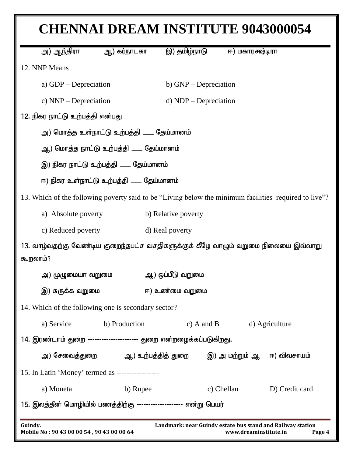| <u>அ) ஆந்திரா</u>                                                                                     | ஆ) கர்நாடகா                                | இ) தமிழ்நாடு                                                      | ஈ) மகாரக்ஷ்டிரா |                |
|-------------------------------------------------------------------------------------------------------|--------------------------------------------|-------------------------------------------------------------------|-----------------|----------------|
| 12. NNP Means                                                                                         |                                            |                                                                   |                 |                |
| a) $GDP - Depreciation$                                                                               |                                            | b) $GNP - Depreciation$                                           |                 |                |
| c) $NNP - Depreciation$                                                                               |                                            | $d) NDP - Depreciation$                                           |                 |                |
| 12. நிகர நாட்டு உற்பத்தி என்பது                                                                       |                                            |                                                                   |                 |                |
|                                                                                                       | அ) மொத்த உள்நாட்டு உற்பத்தி ____ தேய்மானம் |                                                                   |                 |                |
|                                                                                                       | ஆ) மொத்த நாட்டு உற்பத்தி ____ தேய்மானம்    |                                                                   |                 |                |
|                                                                                                       | இ) நிகர நாட்டு உற்பத்தி ___ தேய்மானம்      |                                                                   |                 |                |
|                                                                                                       | ஈ) நிகர உள்நாட்டு உற்பத்தி ____ தேய்மானம்  |                                                                   |                 |                |
| 13. Which of the following poverty said to be "Living below the minimum facilities required to live"? |                                            |                                                                   |                 |                |
| a) Absolute poverty                                                                                   |                                            | b) Relative poverty                                               |                 |                |
|                                                                                                       | c) Reduced poverty<br>d) Real poverty      |                                                                   |                 |                |
| 13. வாழ்வதற்கு வேண்டிய குறைந்தபட்ச வசதிகளுக்குக் கீழே வாழும் வறுமை நிலையை இவ்வாறு<br>கூறலாம்?         |                                            |                                                                   |                 |                |
| அ) முழுமையா வறுமை                                                                                     |                                            | ஆ) ஒப்பீடு வறுமை                                                  |                 |                |
| இ) சுருக்க வறுமை                                                                                      |                                            | ஈ) உண்மை வறுமை                                                    |                 |                |
| 14. Which of the following one is secondary sector?                                                   |                                            |                                                                   |                 |                |
| a) Service                                                                                            | b) Production                              | c) A and B                                                        |                 | d) Agriculture |
| 14. இரண்டாம் துறை ----------------------- துறை என்றழைக்கப்படுகிறது.                                   |                                            |                                                                   |                 |                |
|                                                                                                       |                                            |                                                                   | இ) அ மற்றும் ஆ  | ஈ) விவசாயம்    |
| 15. In Latin 'Money' termed as ------------------                                                     |                                            |                                                                   |                 |                |
| a) Moneta                                                                                             | b) Rupee                                   |                                                                   | c) Chellan      | D) Credit card |
|                                                                                                       |                                            | 15. இலத்தீன் மொழியில் பணத்திற்கு -------------------- என்று பெயர் |                 |                |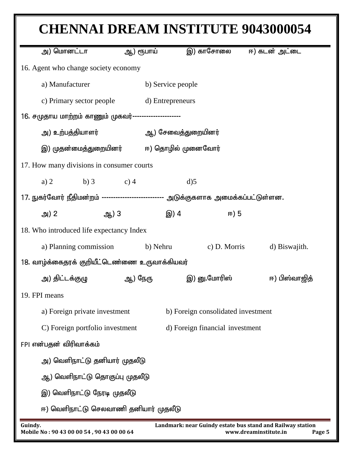| அ) மொனட்டா                                                                           | ஆ) ரூபாய் |                    | இ) காசோலை                          |      | ஈ) கடன் அட்டை |
|--------------------------------------------------------------------------------------|-----------|--------------------|------------------------------------|------|---------------|
| 16. Agent who change society economy                                                 |           |                    |                                    |      |               |
| a) Manufacturer                                                                      |           | b) Service people  |                                    |      |               |
| c) Primary sector people                                                             |           | d) Entrepreneurs   |                                    |      |               |
| 16. சமுதாய மாற்றம் காணும் முகவர்-----------------                                    |           |                    |                                    |      |               |
| அ) உற்பத்தியாளர்                                                                     |           | ஆ) சேவைத்துறையினர் |                                    |      |               |
| இ) முதன்மைத்துறையினர்                                                                |           | ஈ) தொழில் முனைவோர் |                                    |      |               |
| 17. How many divisions in consumer courts                                            |           |                    |                                    |      |               |
| $b)$ 3<br>a) $2$                                                                     | $c)$ 4    |                    | d)5                                |      |               |
| 17. நுகர்வோர் நீதிமன்றம் ---------------------------- அடுக்குகளாக அமைக்கப்பட்டுள்ளன. |           |                    |                                    |      |               |
| அ) 2                                                                                 | ஆ) 3      | இ) 4               |                                    | ஈ) 5 |               |
| 18. Who introduced life expectancy Index                                             |           |                    |                                    |      |               |
| a) Planning commission                                                               |           | b) Nehru           | c) D. Morris                       |      | d) Biswajith. |
| 18. வாழ்க்கைதரக் குறியீட்டெண்ணை உருவாக்கியவர்                                        |           |                    |                                    |      |               |
| அ) திட்டக்குழு                                                                       | ஆ) நேரு   |                    | இ) னு.மோரிஸ்                       |      | ஈ) பிஸ்வாஜித் |
| 19. FPI means                                                                        |           |                    |                                    |      |               |
| a) Foreign private investment                                                        |           |                    | b) Foreign consolidated investment |      |               |
| C) Foreign portfolio investment                                                      |           |                    | d) Foreign financial investment    |      |               |
| FPI என்பதன் விரிவாக்கம்                                                              |           |                    |                                    |      |               |
| அ) வெளிநாட்டு தனியார் முதலீடு                                                        |           |                    |                                    |      |               |
| ஆ) வெளிநாட்டு தொகுப்பு முதலீடு                                                       |           |                    |                                    |      |               |
| இ) வெளிநாட்டு நேரடி முதலீடு                                                          |           |                    |                                    |      |               |
| ஈ) வெளிநாட்டு செலவாணி தனியார் முதலீடு                                                |           |                    |                                    |      |               |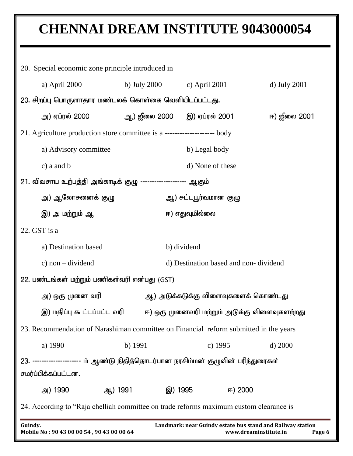| Guindy.<br>Mobile No: 90 43 00 00 54, 90 43 00 00 64                                   |                                                              |  |                                              | Landmark: near Guindy estate bus stand and Railway station<br>www.dreaminstitute.in<br>Page 6 |  |  |  |
|----------------------------------------------------------------------------------------|--------------------------------------------------------------|--|----------------------------------------------|-----------------------------------------------------------------------------------------------|--|--|--|
| 24. According to "Raja chelliah committee on trade reforms maximum custom clearance is |                                                              |  |                                              |                                                                                               |  |  |  |
| அ) 1990                                                                                | ஆ) 1991                                                      |  | இ) 1995<br>ஈ) 2000                           |                                                                                               |  |  |  |
| சமர்ப்பிக்கப்பட்டன.                                                                    |                                                              |  |                                              |                                                                                               |  |  |  |
| 23. --------------------- ம் ஆண்டு நிதித்தொடர்பான நரசிம்மன் குழுவின் பரிந்துரைகள்      |                                                              |  |                                              |                                                                                               |  |  |  |
| a) 1990                                                                                | $b)$ 1991                                                    |  | c) $1995$                                    | d) 2000                                                                                       |  |  |  |
| 23. Recommendation of Narashiman committee on Financial reform submitted in the years  |                                                              |  |                                              |                                                                                               |  |  |  |
| இ) மதிப்பு கூட்டப்பட்ட வரி                                                             |                                                              |  | ஈ) ஒரு முனைவரி மற்றும் அடுக்கு விளைவுகளற்றது |                                                                                               |  |  |  |
| அ) ஒரு முனை வரி                                                                        |                                                              |  | ஆ) அடுக்கடுக்கு விளைவுகளைக் கொண்டது          |                                                                                               |  |  |  |
| 22. பண்டங்கள் மற்றும் பணிகள்வரி என்பது (GST)                                           |                                                              |  |                                              |                                                                                               |  |  |  |
|                                                                                        | c) non $-$ dividend<br>d) Destination based and non-dividend |  |                                              |                                                                                               |  |  |  |
|                                                                                        | a) Destination based<br>b) dividend                          |  |                                              |                                                                                               |  |  |  |
| 22. GST is a                                                                           |                                                              |  |                                              |                                                                                               |  |  |  |
|                                                                                        | ஈ) எதுவுமில்லை<br>இ) அ மற்றும் ஆ                             |  |                                              |                                                                                               |  |  |  |
| அ) ஆலோசனைக் குழு                                                                       |                                                              |  | ஆ) சட்டபூர்வமான குழு                         |                                                                                               |  |  |  |
| 21. விவசாய உற்பத்தி அங்காடிக் குழு -------------------- ஆகும்                          |                                                              |  |                                              |                                                                                               |  |  |  |
| $c)$ a and $b$                                                                         |                                                              |  | d) None of these                             |                                                                                               |  |  |  |
| a) Advisory committee                                                                  |                                                              |  | b) Legal body                                |                                                                                               |  |  |  |
| 21. Agriculture production store committee is a --------------------- body             |                                                              |  |                                              |                                                                                               |  |  |  |
| அ) ஏப்ரல் 2000                                                                         |                                                              |  | ஆ) ஜீலை 2000 இ) ஏப்ரல் 2001                  | ஈ) ஜீலை 2001                                                                                  |  |  |  |
| 20. சிறப்பு பொருளாதார மண்டலக் கொள்கை வெளியிடப்பட்டது.                                  |                                                              |  |                                              |                                                                                               |  |  |  |
| a) April 2000                                                                          |                                                              |  | b) July 2000 c) April 2001                   | d) July 2001                                                                                  |  |  |  |
| 20. Special economic zone principle introduced in                                      |                                                              |  |                                              |                                                                                               |  |  |  |
|                                                                                        |                                                              |  |                                              |                                                                                               |  |  |  |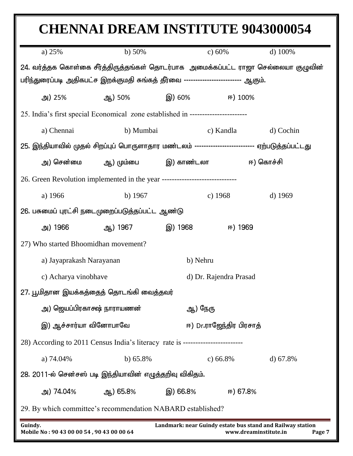## **CHENNAI DREAM INSTITUTE 9043000054 Guindy. Landmark: near Guindy estate bus stand and Railway station Mobile No : 90 43 00 00 54 , 90 43 00 00 64 www.dreaminstitute.in Page 7** a) 25% b) 50% c) 60% d) 100% 24. வர்த்தக கொள்கை சீர்த்திருத்தங்கள் தொடர்பாக அமைக்கப்பட்ட ராஜா செல்லையா குழுவின் பரிந்துரைப்படி அதிகபட்ச இறக்குமதி சுங்கத் தீர்வை ------------------------- ஆகும். m) 25% M) 50% ,) 60% <) 100% 25. India's first special Economical zone established in ---------------------- a) Chennai b) Mumbai c) Kandla d) Cochin 25. இந்தியாவில் முதல் சிறப்புப் பொருளாதார மண்டலம் ------------------------- ஏற்படுத்தப்பட்டது m) nrd;ik M) Kk;ig ,) fhz;lyh <) nfhr;rp 26. Green Revolution implemented in the year ----------------------------- a) 1966 b) 1967 c) 1968 d) 1969 26. பசுமைப் புரட்சி நடைமுறைப்படுத்தப்பட்ட ஆண்டு அ) 1966 – ஆ) 1967 – இ) 1968 – ஈ) 1969 27) Who started Bhoomidhan movement? a) Jayaprakash Narayanan b) Nehru c) Acharya vinobhave d) Dr. Rajendra Prasad 27. பூமிதான இயக்கத்தைத் தொடங்கி வைத்தவர் m) n[ag;gpufh~; ehuhazd; M) NeU ,) Mr;rhu;ah tpNdhghNt <) Dr.uhN[e;jpu gpurhj; 28) According to 2011 Census India's literacy rate is ----------------------- a) 74.04% b) 65.8% c) 66.8% d) 67.8% 28. 2011-ல் சென்சஸ் படி இந்தியாவின் எழுத்தறிவு விகிதம். அ) 74.04% ஆ) 65.8% இ) 66.8% ஈ) 67.8% 29. By which committee's recommendation NABARD established?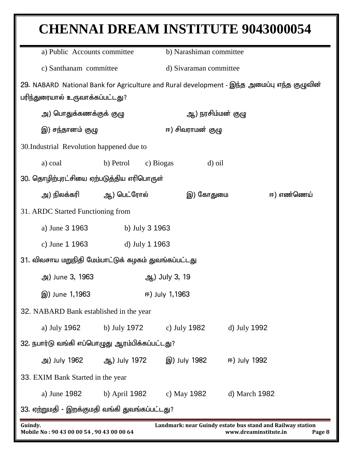| Guindy.<br>Mobile No: 90 43 00 00 54, 90 43 00 00 64                                        |                   |                         | Landmark: near Guindy estate bus stand and Railway station<br>www.dreaminstitute.in | Page 8     |  |
|---------------------------------------------------------------------------------------------|-------------------|-------------------------|-------------------------------------------------------------------------------------|------------|--|
| 33. ஏற்றுமதி - இறக்குமதி வங்கி துவங்கப்பட்டது?                                              |                   |                         |                                                                                     |            |  |
| a) June 1982                                                                                | b) April 1982     | c) May 1982             | d) March 1982                                                                       |            |  |
| 33. EXIM Bank Started in the year                                                           |                   |                         |                                                                                     |            |  |
| அ) July 1962                                                                                | ஆ) July 1972      | இ) July 1982            | ஈ) July 1992                                                                        |            |  |
| 32. நபார்டு வங்கி எப்பொழுது ஆரம்பிக்கப்பட்டது?                                              |                   |                         |                                                                                     |            |  |
| a) July 1962                                                                                | b) July 1972      | c) July 1982            | d) July 1992                                                                        |            |  |
| 32. NABARD Bank established in the year                                                     |                   |                         |                                                                                     |            |  |
| இ) June 1,1963                                                                              |                   | ஈ) July 1,1963          |                                                                                     |            |  |
| அ) June 3, 1963                                                                             |                   | ஆ) July 3, 19           |                                                                                     |            |  |
| 31. விவசாய மறுநிதி மேம்பாட்டுக் கழகம் துவங்கப்பட்டது                                        |                   |                         |                                                                                     |            |  |
| c) June 1 1963                                                                              | d) July 1 1963    |                         |                                                                                     |            |  |
| a) June 3 1963                                                                              | b) July 3 1963    |                         |                                                                                     |            |  |
| 31. ARDC Started Functioning from                                                           |                   |                         |                                                                                     |            |  |
| அ) நிலக்கரி                                                                                 | ஆ) பெட்ரோல்       |                         | இ) கோதுமை                                                                           | ஈ) எண்ணெய் |  |
| 30. தொழிற்புரட்சியை ஏற்படுத்திய எரிபொருள்                                                   |                   |                         |                                                                                     |            |  |
| a) coal                                                                                     | b) Petrol         | c) Biogas               | d) oil                                                                              |            |  |
| 30. Industrial Revolution happened due to                                                   |                   |                         |                                                                                     |            |  |
| இ) சந்தானம் குழு                                                                            | ஈ) சிவராமன் குழு  |                         |                                                                                     |            |  |
| அ) பொதுக்கணக்குக் குழு                                                                      | ஆ) நரசிம்மன் குழு |                         |                                                                                     |            |  |
| பரிந்துரையால் உருவாக்கப்பட்டது?                                                             |                   |                         |                                                                                     |            |  |
| 29. NABARD National Bank for Agriculture and Rural development - இந்த அமைப்பு எந்த குழுவின் |                   |                         |                                                                                     |            |  |
| c) Santhanam committee                                                                      |                   | d) Sivaraman committee  |                                                                                     |            |  |
| a) Public Accounts committee                                                                |                   | b) Narashiman committee |                                                                                     |            |  |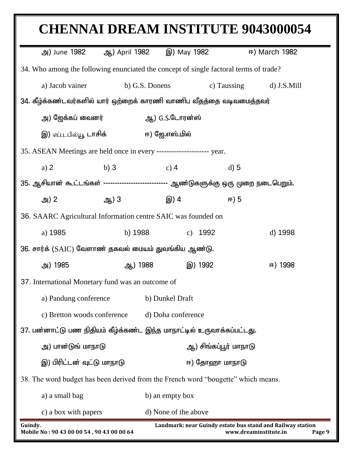| <b>CHENNAI DREAM INSTITUTE 9043000054</b>                                             |                                                                      |                      |                       |                                                                                               |  |  |  |
|---------------------------------------------------------------------------------------|----------------------------------------------------------------------|----------------------|-----------------------|-----------------------------------------------------------------------------------------------|--|--|--|
| அ) June 1982                                                                          | ஆ) April 1982 இ) May 1982                                            |                      |                       | ஈ) March 1982                                                                                 |  |  |  |
| 34. Who among the following enunciated the concept of single factoral terms of trade? |                                                                      |                      |                       |                                                                                               |  |  |  |
| a) Jacob vainer                                                                       | $b)$ G.S. Donens                                                     |                      | c) Taussing           | $d)$ J.S.Mill                                                                                 |  |  |  |
|                                                                                       | 34. கீழ்க்கண்டவர்களில் யார் ஒற்றைக் காரணி வாணிப வீதத்தை வடிவமைத்தவர் |                      |                       |                                                                                               |  |  |  |
| அ) ஜேக்கப் வைனர்                                                                      |                                                                      | ஆ) G.S.டோரன்ஸ்       |                       |                                                                                               |  |  |  |
| இ) எப்.டபில்யூ டாசி <b>க்</b>                                                         |                                                                      | ஈ) ஜே.எஸ்.மில்       |                       |                                                                                               |  |  |  |
| 35. ASEAN Meetings are held once in every ---------------------- year.                |                                                                      |                      |                       |                                                                                               |  |  |  |
| a) $2$                                                                                | b)3                                                                  | c) $4$               | $d$ ) 5               |                                                                                               |  |  |  |
| 35. ஆசியான் கூட்டங்கள் ---------------------------- ஆண்டுகளுக்கு ஒரு முறை நடைபெறும்.  |                                                                      |                      |                       |                                                                                               |  |  |  |
| அ) 2                                                                                  | ஆ) 3                                                                 | இ) 4                 | ஈ) 5                  |                                                                                               |  |  |  |
| 36. SAARC Agricultural Information centre SAIC was founded on                         |                                                                      |                      |                       |                                                                                               |  |  |  |
| a) 1985                                                                               | b) 1988                                                              | c) $1992$            |                       | d) 1998                                                                                       |  |  |  |
| 36. சார்க் (SAIC) வேளாண் தகவல் மையம் துவங்கிய ஆண்டு.                                  |                                                                      |                      |                       |                                                                                               |  |  |  |
| அ) 1985                                                                               | ஆ) 1988                                                              | இ) 1992              |                       | ஈ) 1998                                                                                       |  |  |  |
| 37. International Monetary fund was an outcome of                                     |                                                                      |                      |                       |                                                                                               |  |  |  |
| a) Pandung conference                                                                 |                                                                      | b) Dunkel Draft      |                       |                                                                                               |  |  |  |
| c) Bretton woods conference                                                           |                                                                      | d) Doha conference   |                       |                                                                                               |  |  |  |
| 37. பன்னாட்டு பண நிதியம் கீழ்க்கண்ட இந்த மாநாட்டில் உருவாக்கப்பட்டது.                 |                                                                      |                      |                       |                                                                                               |  |  |  |
| அ) பான்டுங் மாநாடு                                                                    |                                                                      |                      | ஆ) சிங்கப்பூர் மாநாடு |                                                                                               |  |  |  |
|                                                                                       | இ) பிரிட்டன் வுட்டு மாநாடு<br>ஈ) தோஹா மாநாடு                         |                      |                       |                                                                                               |  |  |  |
| 38. The word budget has been derived from the French word "bougette" which means.     |                                                                      |                      |                       |                                                                                               |  |  |  |
| a) a small bag                                                                        |                                                                      | b) an empty box      |                       |                                                                                               |  |  |  |
| c) a box with papers                                                                  |                                                                      | d) None of the above |                       |                                                                                               |  |  |  |
| Guindy.<br>Mobile No: 90 43 00 00 54, 90 43 00 00 64                                  |                                                                      |                      |                       | Landmark: near Guindy estate bus stand and Railway station<br>www.dreaminstitute.in<br>Page 9 |  |  |  |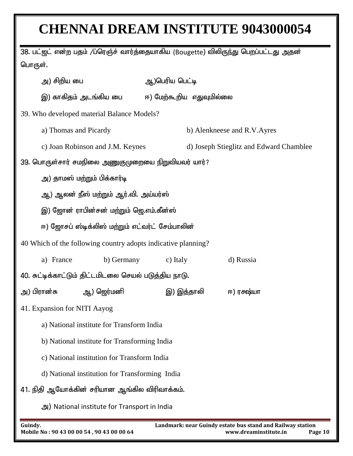| 38. பட்ஜட் என்ற பதம் /ப்ரெஞ்ச் வார்த்தையாகிய (Bougette) விலிருந்து பெறப்பட்டது அதன் |  |  |  |  |  |  |  |
|-------------------------------------------------------------------------------------|--|--|--|--|--|--|--|
| பொருள்.                                                                             |  |  |  |  |  |  |  |
| அ) சிறிய பை<br>ஆ)பெரிய பெட்டி                                                       |  |  |  |  |  |  |  |
| இ) காகிதம் அடங்கிய பை<br>ஈ) மேற்கூறிய எதுவுமில்லை                                   |  |  |  |  |  |  |  |
| 39. Who developed material Balance Models?                                          |  |  |  |  |  |  |  |
| a) Thomas and Picardy<br>b) Alenkneese and R.V.Ayres                                |  |  |  |  |  |  |  |
| c) Joan Robinson and J.M. Keynes<br>d) Joseph Stieglitz and Edward Chamblee         |  |  |  |  |  |  |  |
| 39. பொருள்சார் சமநிலை அணுகுமுறையை நிறுவியவர் யார்?                                  |  |  |  |  |  |  |  |
| அ) தாமஸ் மற்றும் பிக்கார்டி                                                         |  |  |  |  |  |  |  |
| ஆ) ஆலன் நீஸ் மற்றும் ஆர்.வி. அய்யர்ஸ்                                               |  |  |  |  |  |  |  |
| இ) ஜோன் ராபின்சன் மற்றும் ஜெ.எம்.கீன்ஸ்                                             |  |  |  |  |  |  |  |
| ஈ) ஜோசப் ஸ்டிக்லிஸ் மற்றும் எட்வர்ட் சேம்பாலின்                                     |  |  |  |  |  |  |  |
| 40 Which of the following country adopts indicative planning?                       |  |  |  |  |  |  |  |
| b) Germany<br>a) France<br>c) Italy<br>d) Russia                                    |  |  |  |  |  |  |  |
| 40. சுட்டிக்காட்டும் திட்டமிடலை செயல் படுத்திய நாடு.                                |  |  |  |  |  |  |  |
| அ) பிரான்சு<br>இ) இத்தாலி<br>ஆ) ஜெர்மனி<br>ஈ) ரக்ஷ்யா                               |  |  |  |  |  |  |  |
| 41. Expansion for NITI Aayog                                                        |  |  |  |  |  |  |  |
| a) National institute for Transform India                                           |  |  |  |  |  |  |  |
| b) National institute for Transforming India                                        |  |  |  |  |  |  |  |
| c) National institution for Transform India                                         |  |  |  |  |  |  |  |
| d) National institution for Transforming India                                      |  |  |  |  |  |  |  |
| 41. நிதி ஆயோக்கின் சரியான ஆங்கில விரிவாக்கம்.                                       |  |  |  |  |  |  |  |
| அ) National institute for Transport in India                                        |  |  |  |  |  |  |  |
| Guindy<br>Landmark: near Guindy estate hus stand and Railway station                |  |  |  |  |  |  |  |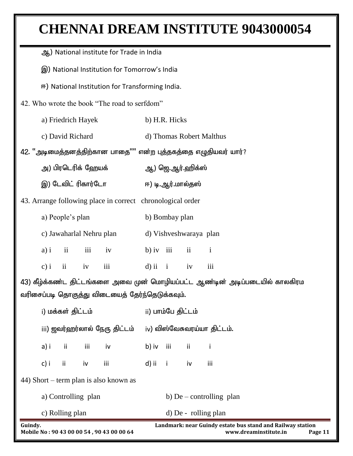| Guindy.<br>Mobile No: 90 43 00 00 54, 90 43 00 00 64           | Landmark: near Guindy estate bus stand and Railway station<br>www.dreaminstitute.in<br>Page 11 |
|----------------------------------------------------------------|------------------------------------------------------------------------------------------------|
| c) Rolling plan                                                | d) De - rolling plan                                                                           |
| a) Controlling plan                                            | b) De – controlling plan                                                                       |
| 44) Short – term plan is also known as                         |                                                                                                |
| c) i<br>ii<br>iii<br>iv                                        | d) ii<br>$\blacksquare$<br>iii<br>iv                                                           |
| iii<br>a) i<br>ii<br>iv                                        | b) iv iii<br>i<br>ii.                                                                          |
| iii) ஜவர்ஹர்லால் நேரு திட்டம்                                  | iv) விஸ்வேசுவரய்யா திட்டம்.                                                                    |
| i) மக்கள் திட்டம்                                              | ii) பாம்பே திட்டம்                                                                             |
| வரிசைப்படி தொகுத்து விடையைத் தேர்ந்தெடுக்கவும்.                |                                                                                                |
|                                                                | 43) கீழ்க்கண்ட திட்டங்களை அவை முன் மொழியப்பட்ட ஆண்டின் அடிப்படையில் காலகிரம                    |
| iii<br>iv<br>$c)$ i<br>$\overline{\mathbf{u}}$                 | iii<br>$d$ ) ii i<br>iv                                                                        |
| $\rm ii$<br>$\overline{\text{iii}}$<br>$a)$ i<br>iv            | ii<br>b) iv iii<br>$\mathbf{i}$                                                                |
| c) Jawaharlal Nehru plan                                       | d) Vishveshwaraya plan                                                                         |
| a) People's plan                                               | b) Bombay plan                                                                                 |
| 43. Arrange following place in correct chronological order     |                                                                                                |
| இ) டேவிட் ரிகார்டோ                                             | ஈ) டி.ஆர்.மால்தஸ்                                                                              |
| அ) பிரடெரிக் ஹேயக்                                             | ஆ) ஜெ.ஆர்.ஹிக்ஸ்                                                                               |
| 42. "அடிமைத்தனத்திற்கான பாதை"" என்ற புத்தகத்தை எழுதியவர் யார்? |                                                                                                |
| c) David Richard                                               | d) Thomas Robert Malthus                                                                       |
| a) Friedrich Hayek                                             | b) H.R. Hicks                                                                                  |
| 42. Who wrote the book "The road to serfdom"                   |                                                                                                |
| ஈ) National Institution for Transforming India.                |                                                                                                |
| (a) National Institution for Tomorrow's India                  |                                                                                                |
| ஆ) National institute for Trade in India                       |                                                                                                |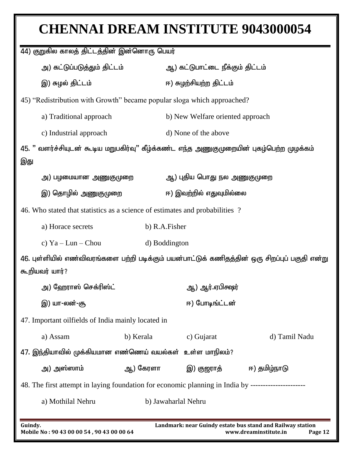| Guindy.<br>Mobile No: 90 43 00 00 54, 90 43 00 00 64                                                |               |                                  | Landmark: near Guindy estate bus stand and Railway station<br>www.dreaminstitute.in<br>Page 12 |  |  |
|-----------------------------------------------------------------------------------------------------|---------------|----------------------------------|------------------------------------------------------------------------------------------------|--|--|
| a) Mothilal Nehru                                                                                   |               | b) Jawaharlal Nehru              |                                                                                                |  |  |
| 48. The first attempt in laying foundation for economic planning in India by ---------------------- |               |                                  |                                                                                                |  |  |
| அ) அஸ்ஸாம்                                                                                          | ஆ) கேரளா      | இ) குஜராத்                       | ஈ) தமிழ்நாடு                                                                                   |  |  |
| 47. இந்தியாவில் முக்கியமான எண்ணெய் வயல்கள் உள்ள மாநிலம்?                                            |               |                                  |                                                                                                |  |  |
| a) Assam                                                                                            | b) Kerala     | c) Gujarat                       | d) Tamil Nadu                                                                                  |  |  |
| 47. Important oilfields of India mainly located in                                                  |               |                                  |                                                                                                |  |  |
| இ) யா-லன்-சூ                                                                                        |               | ஈ) போடிங்ட்டன்                   |                                                                                                |  |  |
| அ) ஹேராஸ் செக்ரிஸ்ட்                                                                                |               | ஆ) ஆர்.ஏபிக்ஷர்                  |                                                                                                |  |  |
| கூறியவர் யார்?                                                                                      |               |                                  |                                                                                                |  |  |
| 46. புள்ளியில் எண்விவரங்களை பற்றி படிக்கும் பயன்பாட்டுக் கணிதத்தின் ஒரு சிறப்புப் பகுதி என்று       |               |                                  |                                                                                                |  |  |
| c) $Ya - Lun - Chou$                                                                                |               | d) Boddington                    |                                                                                                |  |  |
| a) Horace secrets                                                                                   | b) R.A.Fisher |                                  |                                                                                                |  |  |
| 46. Who stated that statistics as a science of estimates and probabilities ?                        |               |                                  |                                                                                                |  |  |
| இ) தொழில் அணுகுமுறை                                                                                 |               | ஈ) இவற்றில் எதுவுமில்லை          |                                                                                                |  |  |
| அ) பழமையான அணுகுமுறை                                                                                |               | ஆ) புதிய பொது நல அணுகுமுறை       |                                                                                                |  |  |
| 45. "வளர்ச்சியுடன் கூடிய மறுபகிர்வு" கீழ்க்கண்ட எந்த அணுகுமுறையின் புகழ்பெற்ற முழக்கம்<br>இது       |               |                                  |                                                                                                |  |  |
| c) Industrial approach                                                                              |               | d) None of the above             |                                                                                                |  |  |
| a) Traditional approach                                                                             |               | b) New Welfare oriented approach |                                                                                                |  |  |
| 45) "Redistribution with Growth" became popular sloga which approached?                             |               |                                  |                                                                                                |  |  |
| இ) சுழல் திட்டம்<br>ஈ) சுழற்சியற்ற திட்டம்                                                          |               |                                  |                                                                                                |  |  |
| அ) கட்டுப்படுத்தும் திட்டம்                                                                         |               | ஆ) கட்டுபாட்டை நீக்கும் திட்டம்  |                                                                                                |  |  |
| 44) குறுகில காலத் திட்டத்தின் இன்னொரு பெயர்                                                         |               |                                  |                                                                                                |  |  |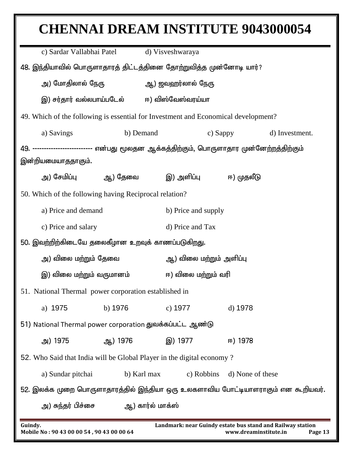|                                                                                           | <b>CHENNAI DREAM INSTITUTE 9043000054</b>                             |                                                            |                       |                |  |  |
|-------------------------------------------------------------------------------------------|-----------------------------------------------------------------------|------------------------------------------------------------|-----------------------|----------------|--|--|
| c) Sardar Vallabhai Patel                                                                 |                                                                       | d) Visveshwaraya                                           |                       |                |  |  |
|                                                                                           | 48. இந்தியாவில் பொருளாதாரத் திட்டத்தினை தோற்றுவித்த முன்னோடி யார்?    |                                                            |                       |                |  |  |
|                                                                                           | அ) மோதிலால் நேரு<br>ஆ) ஜவஹர்லால் நேரு                                 |                                                            |                       |                |  |  |
|                                                                                           | இ) சர்தார் வல்லபாய்படேல்         ஈ) விஸ்வேஸ்வரய்யா                    |                                                            |                       |                |  |  |
| 49. Which of the following is essential for Investment and Economical development?        |                                                                       |                                                            |                       |                |  |  |
| a) Savings                                                                                | b) Demand                                                             |                                                            | c) Sappy              | d) Investment. |  |  |
| 49. -------------------------- என்பது மூலதன ஆக்கத்திற்கும், பொருளாதார முன்னேற்றத்திற்கும் |                                                                       |                                                            |                       |                |  |  |
| இன்றியமையாததாகும்.                                                                        |                                                                       |                                                            |                       |                |  |  |
| அ) சேமிப்பு                                                                               |                                                                       |                                                            | ஈ) முதலீடு            |                |  |  |
| 50. Which of the following having Reciprocal relation?                                    |                                                                       |                                                            |                       |                |  |  |
| a) Price and demand                                                                       |                                                                       | b) Price and supply                                        |                       |                |  |  |
| c) Price and salary                                                                       |                                                                       | d) Price and Tax                                           |                       |                |  |  |
| 50. இவற்றிற்கிடையே தலைகீழான உறவுக் காணப்படுகிறது.                                         |                                                                       |                                                            |                       |                |  |  |
| அ) விலை மற்றும் தேவை                                                                      |                                                                       | ஆ) விலை மற்றும் அளிப்பு                                    |                       |                |  |  |
| இ) விலை மற்றும் வருமானம்                                                                  |                                                                       | ஈ) விலை மற்றும் வரி                                        |                       |                |  |  |
| 51. National Thermal power corporation established in                                     |                                                                       |                                                            |                       |                |  |  |
| a) 1975                                                                                   | b) 1976                                                               | c) $1977$                                                  | d) 1978               |                |  |  |
| 51) National Thermal power corporation துவக்கப்பட்ட ஆண்டு                                 |                                                                       |                                                            |                       |                |  |  |
| அ) 1975                                                                                   | ஆ) 1976                                                               | இ) 1977                                                    | ஈ) 1978               |                |  |  |
|                                                                                           | 52. Who Said that India will be Global Player in the digital economy? |                                                            |                       |                |  |  |
| a) Sundar pitchai                                                                         | b) Karl max                                                           | c) Robbins                                                 | d) None of these      |                |  |  |
| 52. இலக்க முறை பொருளாதாரத்தில் இந்தியா ஒரு உலகளாவிய போட்டியாளராகும் என கூறியவர்.          |                                                                       |                                                            |                       |                |  |  |
| அ) சுந்தர் பிச்சை                                                                         | ஆ) கார்ல் மாக்ஸ்                                                      |                                                            |                       |                |  |  |
| Guindy.<br>Mobile No: 90 43 00 00 54, 90 43 00 00 64                                      |                                                                       | Landmark: near Guindy estate bus stand and Railway station | www.dreaminstitute.in | Page 13        |  |  |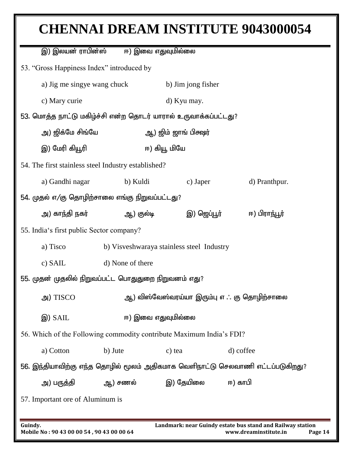# **CHENNAI DREAM INSTITUTE 9043000054 Guindy. Landmark: near Guindy estate bus stand and Railway station** இ) இலயன் ராபின்ஸ் ஈ) இவை எதுவுமில்லை 53. "Gross Happiness Index" introduced by a) Jig me singye wang chuck b) Jim jong fisher c) Mary curie d) Kyu may. 53. மொத்த நாட்டு மகிழ்ச்சி என்ற தொடர் யாரால் உருவாக்கப்பட்டது? m) [pf;Nk rpq;Na M) [pk; [hq; gp~u; ,) Nkup fpA+up <) fpA+ kpNa 54. The first stainless steel Industry established? a) Gandhi nagar b) Kuldi c) Japer d) Pranthpur. 54. முதல் எ/கு தொழிற்சாலை எங்கு நிறுவப்பட்டது? m) fhe;jp efu; M) Fy;b ,) n[g;G+u; <) gpuhe;G+u; 55. India's first public Sector company? a) Tisco b) Visveshwaraya stainless steel Industry c) SAIL d) None of there 55. முதன் முதலில் நிறுவப்பட்ட பொதுதுறை நிறுவனம் எது? m) TISCO M) tp];Nt];tua;ah ,Uk;G v F njhopw;rhiy ,) SAIL <) ,it vJTkpy;iy 56. Which of the Following commodity contribute Maximum India's FDI? a) Cotton b) Jute c) tea d) coffee 56. இந்தியாவிற்கு எந்த தொழில் மூலம் அதிகமாக வெளிநாட்டு செலவாணி எட்டப்படுகிறது? m) gUj;jp M) rzy; ,) Njapiy <) fhgp 57. Important ore of Aluminum is

**Mobile No : 90 43 00 00 54 , 90 43 00 00 64 www.dreaminstitute.in Page 14**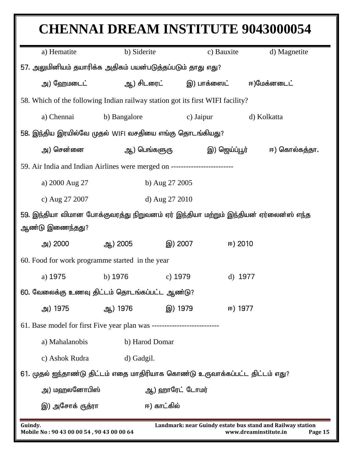|                                                                                                        |                |                 |               | <b>CHENNAI DREAM INSTITUTE 9043000054</b>                                                      |
|--------------------------------------------------------------------------------------------------------|----------------|-----------------|---------------|------------------------------------------------------------------------------------------------|
| a) Hematite                                                                                            | b) Siderite    |                 | c) Bauxite    | d) Magnetite                                                                                   |
| 57. அலுமினியம் தயாரிக்க அதிகம் பயன்படுத்தப்படும் தாது எது?                                             |                |                 |               |                                                                                                |
| அ) ஹேமடைட்                                                                                             | ஆ) சிடரைட்     |                 | இ) பாக்ஸைட்   | ஈ)மேக்னடைட்                                                                                    |
| 58. Which of the following Indian railway station got its first WIFI facility?                         |                |                 |               |                                                                                                |
| a) Chennai                                                                                             | b) Bangalore   | c) Jaipur       |               | d) Kolkatta                                                                                    |
| 58. இந்திய இரயில்வே முதல் WIFI வசதியை எங்கு தொடங்கியது?                                                |                |                 |               |                                                                                                |
| அ) சென்னை                                                                                              | ஆ) பெங்களுரு   |                 | இ) ஜெய்ப்பூர் | ஈ) கொல்கத்தா.                                                                                  |
| 59. Air India and Indian Airlines were merged on --------------------------                            |                |                 |               |                                                                                                |
| a) 2000 Aug 27                                                                                         |                | b) Aug 27 2005  |               |                                                                                                |
| c) Aug 27 2007                                                                                         |                | d) Aug 27 2010  |               |                                                                                                |
| 59. இந்தியா விமான போக்குவரத்து நிறுவனம் ஏர் இந்தியா மற்றும் இந்தியன் ஏர்லைன்ஸ் எந்த<br>ஆண்டு இணைந்தது? |                |                 |               |                                                                                                |
| அ) 2000                                                                                                | ஆ) 2005        | இ) 2007         | ஈ) 2010       |                                                                                                |
| 60. Food for work programme started in the year                                                        |                |                 |               |                                                                                                |
| a) 1975                                                                                                | $b)$ 1976      | c) 1979         | d) $1977$     |                                                                                                |
| 60. வேலைக்கு உணவு திட்டம் தொடங்கப்பட்ட ஆண்டு?                                                          |                |                 |               |                                                                                                |
| அ) 1975                                                                                                | ஆ) 1976        | இ) 1979         | m) 1977       |                                                                                                |
|                                                                                                        |                |                 |               |                                                                                                |
| a) Mahalanobis                                                                                         | b) Harod Domar |                 |               |                                                                                                |
| c) Ashok Rudra                                                                                         | d) Gadgil.     |                 |               |                                                                                                |
| 61. முதல் ஐந்தாண்டு திட்டம் எதை மாதிரியாக கொண்டு உருவாக்கப்பட்ட திட்டம் எது?                           |                |                 |               |                                                                                                |
| அ) மஹலனோபிஸ்                                                                                           |                | ஆ) ஹாரேட் டோமர் |               |                                                                                                |
| இ) அசோக் ருத்ரா                                                                                        |                | ஈ) காட்கில்     |               |                                                                                                |
| Guindy.<br>Mobile No: 90 43 00 00 54, 90 43 00 00 64                                                   |                |                 |               | Landmark: near Guindy estate bus stand and Railway station<br>www.dreaminstitute.in<br>Page 15 |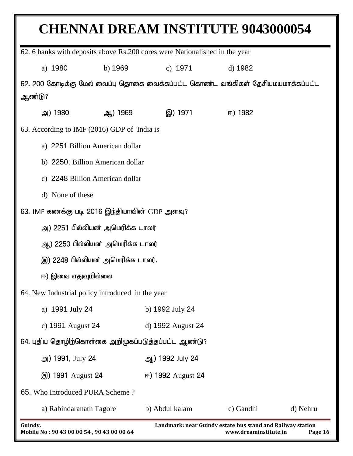## **CHENNAI DREAM INSTITUTE 9043000054 Guindy. Landmark: near Guindy estate bus stand and Railway station Mobile No : 90 43 00 00 54 , 90 43 00 00 64 www.dreaminstitute.in Page 16** 62. 6 banks with deposits above Rs.200 cores were Nationalished in the year a) 1980 b) 1969 c) 1971 d) 1982 62. 200 கோடிக்கு மேல் வைப்பு தொகை வைக்கப்பட்ட கொண்ட வங்கிகள் தேசியமயமாக்கப்பட்ட ஆண்டு? அ) 1980 – ஆ) 1969 – இ) 1971 – ஈ) 1982 63. According to IMF (2016) GDP of India is a) 2251 Billion American dollar b) 2250; Billion American dollar c) 2248 Billion American dollar d) None of these 63. IMF கணக்கு படி 2016 இந்தியாவின் GDP அளவு? அ) 2251 பில்லியன் அமெரிக்க டாலர் அ.) 2250 பில்லியன் அமெரிக்க டாலர் இ) 2248 பில்லியன் அமெரிக்க டாலர். ஈ) இவை எதுவுமில்லை 64. New Industrial policy introduced in the year a) 1991 July 24 b) 1992 July 24 c) 1991 August 24 d) 1992 August 24 64. புதிய தொழிற்கொள்கை அறிமுகப்படுத்தப்பட்ட ஆண்டு? g (1991, July 24 (1992 July 24 இ) 1991 August 24 Fr) 1992 August 24 65. Who Introduced PURA Scheme ? a) Rabindaranath Tagore b) Abdul kalam c) Gandhi d) Nehru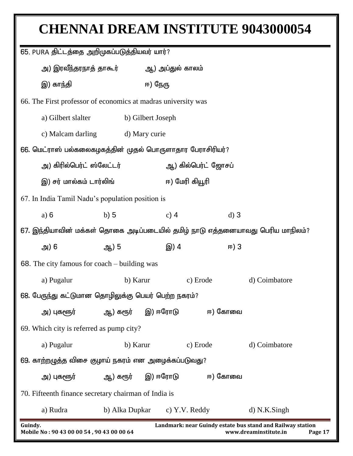| 65. PURA திட்டத்தை அறிமுகப்படுத்தியவர் யார்?                                   |                |                   |                     |         |                                                                                                |
|--------------------------------------------------------------------------------|----------------|-------------------|---------------------|---------|------------------------------------------------------------------------------------------------|
| அ) இரவீந்தரநாத் தாகூர்                                                         |                | ஆ) அப்துல் காலம்  |                     |         |                                                                                                |
| இ) காந்தி                                                                      |                | ஈ) நேரு           |                     |         |                                                                                                |
| 66. The First professor of economics at madras university was                  |                |                   |                     |         |                                                                                                |
| a) Gilbert slalter                                                             |                | b) Gilbert Joseph |                     |         |                                                                                                |
| c) Malcam darling                                                              |                | d) Mary curie     |                     |         |                                                                                                |
| 66. மெட்ராஸ் பல்கலைகழகத்தின் முதல் பொருளாதார பேராசிரியர்?                      |                |                   |                     |         |                                                                                                |
| அ) கிரில்பெர்ட் ஸ்லேட்டர்                                                      |                |                   | ஆ) கில்பெர்ட் ஜோசப் |         |                                                                                                |
| இ) சர் மால்கம் டார்லிங்                                                        |                |                   | ஈ) மேரி கியூரி      |         |                                                                                                |
| 67. In India Tamil Nadu's population position is                               |                |                   |                     |         |                                                                                                |
| a) 6                                                                           | b) 5           | c) $4$            |                     | $d)$ 3  |                                                                                                |
| 67. இந்தியாவின் மக்கள் தொகை அடிப்படையில் தமிழ் நாடு எத்தனையாவது பெரிய மாநிலம்? |                |                   |                     |         |                                                                                                |
| அ) 6                                                                           | ஆ) 5           | இ) 4              |                     | ஈ) 3    |                                                                                                |
| 68. The city famous for coach – building was                                   |                |                   |                     |         |                                                                                                |
| a) Pugalur                                                                     | b) Karur       |                   | c) Erode            |         | d) Coimbatore                                                                                  |
| 68. பேருந்து கட்டுமான தொழிலுக்கு பெயர் பெற்ற நகரம்?                            |                |                   |                     |         |                                                                                                |
| அ) புகளூர்                                                                     | ஆ) கரூர்       | இ) ஈரோடு          |                     | ஈ) கோவை |                                                                                                |
| 69. Which city is referred as pump city?                                       |                |                   |                     |         |                                                                                                |
| a) Pugalur                                                                     | b) Karur       |                   | c) Erode            |         | d) Coimbatore                                                                                  |
| 69. காற்றழுத்த விசை குழாய் நகரம் என அழைக்கப்படுவது?                            |                |                   |                     |         |                                                                                                |
| அ) புகளூர்                                                                     | ஆ) கரூர்       | இ) ஈரோடு          |                     | ஈ) கோவை |                                                                                                |
| 70. Fifteenth finance secretary chairman of India is                           |                |                   |                     |         |                                                                                                |
| a) Rudra                                                                       | b) Alka Dupkar |                   | c) Y.V. Reddy       |         | $d)$ N.K.Singh                                                                                 |
| Guindy.<br>Mobile No: 90 43 00 00 54, 90 43 00 00 64                           |                |                   |                     |         | Landmark: near Guindy estate bus stand and Railway station<br>www.dreaminstitute.in<br>Page 17 |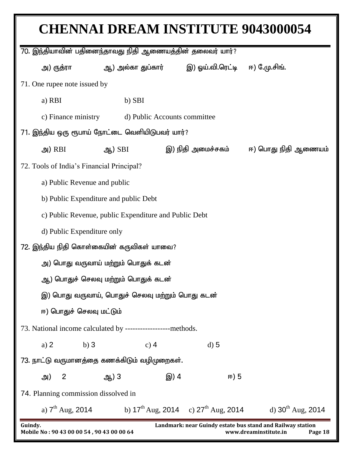|                              |                                                               |                   |                   | <b>CHENNAI DREAM INSTITUTE 9043000054</b>                                                      |  |  |  |  |
|------------------------------|---------------------------------------------------------------|-------------------|-------------------|------------------------------------------------------------------------------------------------|--|--|--|--|
|                              | 70. இந்தியாவின் பதினைந்தாவது நிதி ஆணையத்தின் தலைவர் யார்?     |                   |                   |                                                                                                |  |  |  |  |
| அ) ருத்ரா                    |                                                               | ஆ) அல்கா துப்கார் | இ) ஓய்.வி.ரெட்டி  | ஈ) டேமு.சிங்.                                                                                  |  |  |  |  |
| 71. One rupee note issued by |                                                               |                   |                   |                                                                                                |  |  |  |  |
| a) RBI                       | b) SBI                                                        |                   |                   |                                                                                                |  |  |  |  |
|                              | c) Finance ministry d) Public Accounts committee              |                   |                   |                                                                                                |  |  |  |  |
|                              | 71. இந்திய ஒரு ரூபாய் நோட்டை வெளியிடுபவர் யார்?               |                   |                   |                                                                                                |  |  |  |  |
| அ) $RBI$                     | ஆ) SBI                                                        |                   | இ) நிதி அமைச்சகம் | ஈ) பொது நிதி ஆணையம்                                                                            |  |  |  |  |
|                              | 72. Tools of India's Financial Principal?                     |                   |                   |                                                                                                |  |  |  |  |
|                              | a) Public Revenue and public                                  |                   |                   |                                                                                                |  |  |  |  |
|                              | b) Public Expenditure and public Debt                         |                   |                   |                                                                                                |  |  |  |  |
|                              | c) Public Revenue, public Expenditure and Public Debt         |                   |                   |                                                                                                |  |  |  |  |
|                              | d) Public Expenditure only                                    |                   |                   |                                                                                                |  |  |  |  |
|                              | 72. இந்திய நிதி கொள்கையின் கருவிகள் யாவை?                     |                   |                   |                                                                                                |  |  |  |  |
|                              | அ) பொது வருவாய் மற்றும் பொதுக் கடன்                           |                   |                   |                                                                                                |  |  |  |  |
|                              | ஆ) பொதுச் செலவு மற்றும் பொதுக் கடன்                           |                   |                   |                                                                                                |  |  |  |  |
|                              | இ) பொது வருவாய், பொதுச் செலவு மற்றும் பொது கடன்               |                   |                   |                                                                                                |  |  |  |  |
|                              | ஈ) பொதுச் செலவு மட்டும்                                       |                   |                   |                                                                                                |  |  |  |  |
|                              | 73. National income calculated by -------------------methods. |                   |                   |                                                                                                |  |  |  |  |
| a) $2$                       | $(b)$ 3                                                       | c) $4$            | $d$ ) 5           |                                                                                                |  |  |  |  |
|                              | 73. நாட்டு வருமானத்தை கணக்கிடும் வழிமுறைகள்.                  |                   |                   |                                                                                                |  |  |  |  |
| அ)<br>$\overline{2}$         | ஆ) 3                                                          | இ) 4              | ஈ) 5              |                                                                                                |  |  |  |  |
|                              | 74. Planning commission dissolved in                          |                   |                   |                                                                                                |  |  |  |  |
|                              |                                                               |                   |                   | a) $7^{th}$ Aug, 2014 b) $17^{th}$ Aug, 2014 c) $27^{th}$ Aug, 2014 d) $30^{th}$ Aug, 2014     |  |  |  |  |
| Guindy.                      | Mobile No: 90 43 00 00 54, 90 43 00 00 64                     |                   |                   | Landmark: near Guindy estate bus stand and Railway station<br>www.dreaminstitute.in<br>Page 18 |  |  |  |  |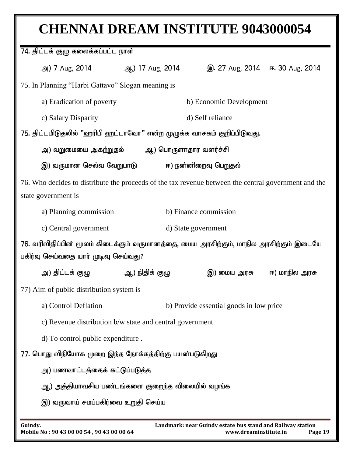|         | 74. திட்டக் குழு கலைக்கப்பட்ட நாள்                                                                                            |                         |                                         |                         |                                                            |
|---------|-------------------------------------------------------------------------------------------------------------------------------|-------------------------|-----------------------------------------|-------------------------|------------------------------------------------------------|
|         | அ) 7 Aug, 2014                                                                                                                | ஆ) 17 Aug <i>,</i> 2014 |                                         |                         | இ. 27 Aug, 2014 ஈ. 30 Aug, 2014                            |
|         | 75. In Planning "Harbi Gattavo" Slogan meaning is                                                                             |                         |                                         |                         |                                                            |
|         | a) Eradication of poverty                                                                                                     |                         |                                         | b) Economic Development |                                                            |
|         | c) Salary Disparity                                                                                                           |                         | d) Self reliance                        |                         |                                                            |
|         | 75. திட்டமிடுதலில் "ஹரிபி ஹட்டாவோ" என்ற முழுக்க வாசகம் குறிப்பிடுவது.                                                         |                         |                                         |                         |                                                            |
|         | அ) வறுமையை அகற்றுதல்                                                                                                          |                         | ஆ) பொருளாதார வளர்ச்சி                   |                         |                                                            |
|         | இ) வருமான செல்வ வேறுபாடு                                                                                                      |                         | ஈ) நன்னிறைவு பெறுதல்                    |                         |                                                            |
|         | 76. Who decides to distribute the proceeds of the tax revenue between the central government and the                          |                         |                                         |                         |                                                            |
|         | state government is                                                                                                           |                         |                                         |                         |                                                            |
|         | a) Planning commission                                                                                                        |                         | b) Finance commission                   |                         |                                                            |
|         | c) Central government                                                                                                         |                         | d) State government                     |                         |                                                            |
|         | 76. வரிவிதிப்பின் மூலம் கிடைக்கும் வருமானத்தை, மைய அரசிற்கும், மாநில அரசிற்கும் இடையே<br>பகிர்வு செய்வதை யார் முடிவு செய்வது? |                         |                                         |                         |                                                            |
|         | அ) திட்டக் குழு                                                                                                               | ஆ) நிதிக் குழு          |                                         | இ) மைய அரசு             | ஈ) மாநில அரசு                                              |
|         | 77) Aim of public distribution system is                                                                                      |                         |                                         |                         |                                                            |
|         | a) Control Deflation                                                                                                          |                         | b) Provide essential goods in low price |                         |                                                            |
|         | c) Revenue distribution b/w state and central government.                                                                     |                         |                                         |                         |                                                            |
|         | d) To control public expenditure.                                                                                             |                         |                                         |                         |                                                            |
|         | 77. பொது விநியோக முறை இந்த நோக்கத்திற்கு பயன்படுகிறது                                                                         |                         |                                         |                         |                                                            |
|         | அ) பணவாட்டத்தைக் கட்டுப்படுத்த                                                                                                |                         |                                         |                         |                                                            |
|         | ஆ) அத்தியாவசிய பண்டங்களை குறைந்த விலையில் வழங்க                                                                               |                         |                                         |                         |                                                            |
|         | இ) வருவாய் சமப்பகிர்வை உறுதி செய்ய                                                                                            |                         |                                         |                         |                                                            |
| Guindy. |                                                                                                                               |                         |                                         |                         | Landmark: near Guindy estate bus stand and Railway station |
|         | Mobile No: 90 43 00 00 54, 90 43 00 00 64                                                                                     |                         |                                         | www.dreaminstitute.in   | Page 19                                                    |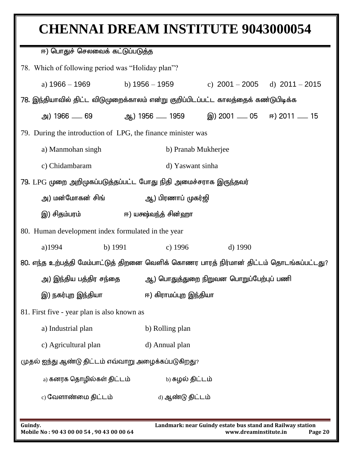| ஈ) பொதுச் செலவைக் கட்டுப்படுத்த                                                                                             |                       |                                                                                     |         |  |  |  |  |
|-----------------------------------------------------------------------------------------------------------------------------|-----------------------|-------------------------------------------------------------------------------------|---------|--|--|--|--|
| 78. Which of following period was "Holiday plan"?                                                                           |                       |                                                                                     |         |  |  |  |  |
| a) $1966 - 1969$ b) $1956 - 1959$ c) $2001 - 2005$ d) $2011 - 2015$                                                         |                       |                                                                                     |         |  |  |  |  |
| 78. இந்தியாவில் திட்ட விடுமுறைக்காலம் என்று குறிப்பிடப்பட்ட காலத்தைக் கண்டுபிடிக்க                                          |                       |                                                                                     |         |  |  |  |  |
| அ) 1966 <sub>—</sub> 69              ஆ,) 1956 <sub>—</sub> 1959         இ) 2001 <sub>—</sub> 05     ஈ) 2011 <sub>—</sub> 15 |                       |                                                                                     |         |  |  |  |  |
| 79. During the introduction of LPG, the finance minister was                                                                |                       |                                                                                     |         |  |  |  |  |
| a) Manmohan singh                                                                                                           |                       | b) Pranab Mukherjee                                                                 |         |  |  |  |  |
| c) Chidambaram                                                                                                              | d) Yaswant sinha      |                                                                                     |         |  |  |  |  |
| 79. LPG முறை அறிமுகப்படுத்தப்பட்ட போது நிதி அமைச்சராக இருந்தவர்                                                             |                       |                                                                                     |         |  |  |  |  |
| அ) மன்மோகன் சிங்<br>ஆ) பிரணாப் முகர்ஜி                                                                                      |                       |                                                                                     |         |  |  |  |  |
| இ) சிதம்பரம்                                                                                                                | ஈ) யக்ஷ்வந்த் சின்ஹா  |                                                                                     |         |  |  |  |  |
| 80. Human development index formulated in the year                                                                          |                       |                                                                                     |         |  |  |  |  |
| b) $1991$<br>a)1994                                                                                                         | c) $1996$             | $d)$ 1990                                                                           |         |  |  |  |  |
| 80. எந்த உற்பத்தி மேம்பாட்டுத் திறனை வெளிக் கொணர பாரத் நிர்மான் திட்டம் தொடங்கப்பட்டது?                                     |                       |                                                                                     |         |  |  |  |  |
| அ) இந்திய பத்திர சந்தை                                                                                                      |                       | ஆ) பொதுத்துறை நிறுவன பொறுப்பேற்புப் பணி                                             |         |  |  |  |  |
| இ) நகர்புற இந்தியா                                                                                                          | ஈ) கிராமப்புற இந்தியா |                                                                                     |         |  |  |  |  |
| 81. First five - year plan is also known as                                                                                 |                       |                                                                                     |         |  |  |  |  |
| a) Industrial plan                                                                                                          | b) Rolling plan       |                                                                                     |         |  |  |  |  |
| c) Agricultural plan                                                                                                        | d) Annual plan        |                                                                                     |         |  |  |  |  |
| முதல் ஐந்து ஆண்டு திட்டம் எவ்வாறு அழைக்கப்படுகிறது?                                                                         |                       |                                                                                     |         |  |  |  |  |
| a) கனரக தொழில்கள் திட்டம்                                                                                                   | b) சுழல் திட்டம்      |                                                                                     |         |  |  |  |  |
| c) வேளாண்மை திட்டம்                                                                                                         | d) ஆண்டு திட்டம்      |                                                                                     |         |  |  |  |  |
|                                                                                                                             |                       |                                                                                     |         |  |  |  |  |
| Guindy.<br>Mobile No: 90 43 00 00 54, 90 43 00 00 64                                                                        |                       | Landmark: near Guindy estate bus stand and Railway station<br>www.dreaminstitute.in | Page 20 |  |  |  |  |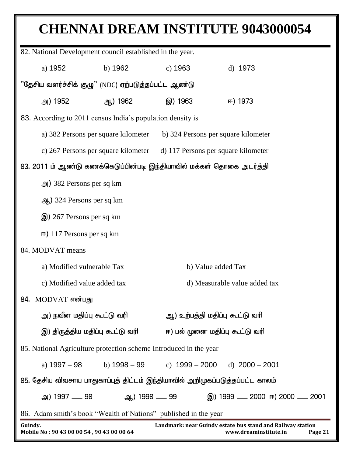|         |                                                    | 82. National Development council established in the year.         |           |                                                                                                |
|---------|----------------------------------------------------|-------------------------------------------------------------------|-----------|------------------------------------------------------------------------------------------------|
|         | a) 1952                                            | $b)$ 1962                                                         | c) $1963$ | d) 1973                                                                                        |
|         |                                                    | "தேசிய வளர்ச்சிக் குழு" (NDC) ஏற்படுத்தப்பட்ட ஆண்டு               |           |                                                                                                |
|         | அ) 1952                                            | ஆ) 1962                                                           | இ) 1963   | ஈ) 1973                                                                                        |
|         |                                                    | 83. According to 2011 census India's population density is        |           |                                                                                                |
|         | a) 382 Persons per square kilometer                |                                                                   |           | b) 324 Persons per square kilometer                                                            |
|         | c) 267 Persons per square kilometer                |                                                                   |           | d) 117 Persons per square kilometer                                                            |
|         |                                                    |                                                                   |           | 83. 2011 ம் ஆண்டு கணக்கெடுப்பின்படி இந்தியாவில் மக்கள் தொகை அடர்த்தி                           |
|         | $\left( \frac{1}{2} \right)$ 382 Persons per sq km |                                                                   |           |                                                                                                |
|         | ஆ) 324 Persons per sq km                           |                                                                   |           |                                                                                                |
|         | (g) 267 Persons per sq km                          |                                                                   |           |                                                                                                |
|         | ஈ) 117 Persons per sq km                           |                                                                   |           |                                                                                                |
|         | 84. MODVAT means                                   |                                                                   |           |                                                                                                |
|         | a) Modified vulnerable Tax                         |                                                                   |           | b) Value added Tax                                                                             |
|         | c) Modified value added tax                        |                                                                   |           | d) Measurable value added tax                                                                  |
|         | 84. MODVAT என்பது                                  |                                                                   |           |                                                                                                |
|         | அ) நவீன மதிப்பு கூட்டு வரி                         |                                                                   |           | ஆ) உற்பத்தி மதிப்பு கூட்டு வரி                                                                 |
|         | இ) திருத்திய மதிப்பு கூட்டு வரி                    |                                                                   |           | ஈ) பல் முனை மதிப்பு கூட்டு வரி                                                                 |
|         |                                                    | 85. National Agriculture protection scheme Introduced in the year |           |                                                                                                |
|         |                                                    |                                                                   |           | a) $1997 - 98$ b) $1998 - 99$ c) $1999 - 2000$ d) $2000 - 2001$                                |
|         |                                                    |                                                                   |           | 85. தேசிய விவசாய பாதுகாப்புத் திட்டம் இந்தியாவில் அறிமுகப்படுத்தப்பட்ட காலம்                   |
|         | அ) 1997 — 98                                       | ஆ) 1998 —— 99                                                     |           | இ) 1999 — 2000 ஈ) 2000 — 2001                                                                  |
|         |                                                    | 86. Adam smith's book "Wealth of Nations" published in the year   |           |                                                                                                |
| Guindy. | Mobile No: 90 43 00 00 54, 90 43 00 00 64          |                                                                   |           | Landmark: near Guindy estate bus stand and Railway station<br>www.dreaminstitute.in<br>Page 21 |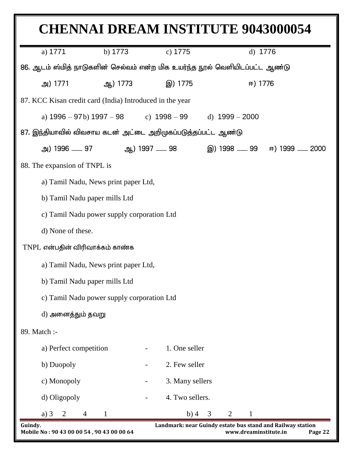|                                                                             |                                            | <b>CHENNAI DREAM INSTITUTE 9043000054</b>                     |        |              |                                                                                                |  |  |
|-----------------------------------------------------------------------------|--------------------------------------------|---------------------------------------------------------------|--------|--------------|------------------------------------------------------------------------------------------------|--|--|
| a) 1771                                                                     | $b)$ 1773                                  | c) 1775                                                       |        | d) 1776      |                                                                                                |  |  |
| 86. ஆடம் ஸ்மித் நாடுகளின் செல்வம் என்ற மிக உயர்ந்த நூல் வெளியிடப்பட்ட ஆண்டு |                                            |                                                               |        |              |                                                                                                |  |  |
| அ) 1771                                                                     | ஆ) 1773                                    | இ) 1775                                                       |        | m) 1776      |                                                                                                |  |  |
| 87. KCC Kisan credit card (India) Introduced in the year                    |                                            |                                                               |        |              |                                                                                                |  |  |
|                                                                             |                                            | a) $1996 - 97b$ ) $1997 - 98$ c) $1998 - 99$ d) $1999 - 2000$ |        |              |                                                                                                |  |  |
| 87. இந்தியாவில் விவசாய கடன் அட்டை அறிமுகப்படுத்தப்பட்ட ஆண்டு                |                                            |                                                               |        |              |                                                                                                |  |  |
| அ) 1996 — 97                                                                |                                            | ஆ) 1997 — 98           இ) 1998 — 99                           |        |              | ஈ) 1999 — 2000                                                                                 |  |  |
| 88. The expansion of TNPL is                                                |                                            |                                                               |        |              |                                                                                                |  |  |
| a) Tamil Nadu, News print paper Ltd,                                        |                                            |                                                               |        |              |                                                                                                |  |  |
| b) Tamil Nadu paper mills Ltd                                               |                                            |                                                               |        |              |                                                                                                |  |  |
|                                                                             | c) Tamil Nadu power supply corporation Ltd |                                                               |        |              |                                                                                                |  |  |
| d) None of these.                                                           |                                            |                                                               |        |              |                                                                                                |  |  |
| TNPL என்பதின் விரிவாக்கம் காண்க                                             |                                            |                                                               |        |              |                                                                                                |  |  |
| a) Tamil Nadu, News print paper Ltd,                                        |                                            |                                                               |        |              |                                                                                                |  |  |
| b) Tamil Nadu paper mills Ltd                                               |                                            |                                                               |        |              |                                                                                                |  |  |
| c) Tamil Nadu power supply corporation Ltd                                  |                                            |                                                               |        |              |                                                                                                |  |  |
| d) அனைத்தும் தவறு                                                           |                                            |                                                               |        |              |                                                                                                |  |  |
| 89. Match :-                                                                |                                            |                                                               |        |              |                                                                                                |  |  |
| a) Perfect competition                                                      |                                            | 1. One seller                                                 |        |              |                                                                                                |  |  |
| b) Duopoly                                                                  |                                            | 2. Few seller                                                 |        |              |                                                                                                |  |  |
| c) Monopoly                                                                 |                                            | 3. Many sellers                                               |        |              |                                                                                                |  |  |
| d) Oligopoly                                                                |                                            | 4. Two sellers.                                               |        |              |                                                                                                |  |  |
| a) $3$<br>$\overline{2}$<br>4                                               | $\mathbf 1$                                | $b)$ 4                                                        | 2<br>3 | $\mathbf{1}$ |                                                                                                |  |  |
| Guindy.<br>Mobile No: 90 43 00 00 54, 90 43 00 00 64                        |                                            |                                                               |        |              | Landmark: near Guindy estate bus stand and Railway station<br>www.dreaminstitute.in<br>Page 22 |  |  |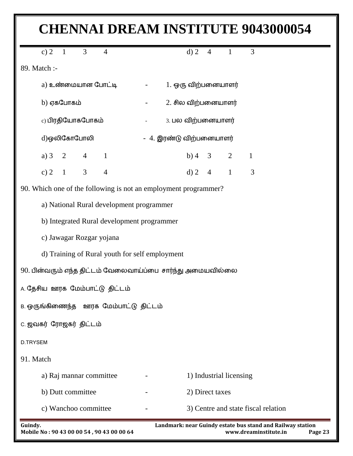| <b>CHENNAI DREAM INSTITUTE 9043000054</b>                                                                                                              |
|--------------------------------------------------------------------------------------------------------------------------------------------------------|
| c) $2$<br>3<br>$d$ ) 2<br>3<br>$\overline{1}$<br>$\overline{4}$<br>$\overline{4}$<br>$\mathbf{1}$                                                      |
| 89. Match :-                                                                                                                                           |
| a) உண்மையான போட்டி<br>1. ஒரு விற்பனையாளர்                                                                                                              |
| b) ஏகபோகம்<br>2. சில விற்பனையாளர்                                                                                                                      |
| c) பிரதியோகபோகம்<br>3. பல விற்பனையாளர்                                                                                                                 |
| d)ஒலிகோபோலி<br>- 4. இரண்டு விற்பனையாளர்                                                                                                                |
| a) $3$<br>$b)$ 4<br>2<br>$\overline{4}$<br>$\mathbf{1}$<br>$\mathfrak{Z}$<br>$\overline{2}$<br>$\mathbf{1}$                                            |
| c) $2$<br>$\overline{1}$<br>3 <sup>7</sup><br>$\overline{4}$<br>$d)$ 2<br>3<br>$\overline{4}$<br>$\mathbf{1}$                                          |
| 90. Which one of the following is not an employment programmer?                                                                                        |
| a) National Rural development programmer                                                                                                               |
| b) Integrated Rural development programmer                                                                                                             |
| c) Jawagar Rozgar yojana                                                                                                                               |
| d) Training of Rural youth for self employment                                                                                                         |
| 90. பின்வரும் எந்த திட்டம் வேலைவாய்ப்பை சார்ந்து அமையவில்லை                                                                                            |
| A. தேசிய ஊரக மேம்பாட்டு திட்டம்                                                                                                                        |
| B. ஒருங்கிணைந்த ஊரக மேம்பாட்டு திட்டம்                                                                                                                 |
| c ஜவகர் ரோஜகர் திட்டம்                                                                                                                                 |
| D.TRYSEM                                                                                                                                               |
| 91. Match                                                                                                                                              |
|                                                                                                                                                        |
| 1) Industrial licensing<br>a) Raj mannar committee                                                                                                     |
| b) Dutt committee<br>2) Direct taxes                                                                                                                   |
| c) Wanchoo committee<br>3) Centre and state fiscal relation                                                                                            |
| Landmark: near Guindy estate bus stand and Railway station<br>Guindy.<br>Mobile No: 90 43 00 00 54, 90 43 00 00 64<br>www.dreaminstitute.in<br>Page 23 |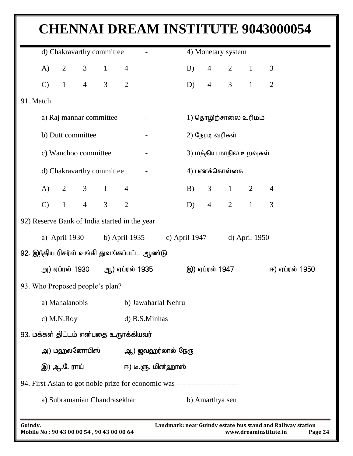|         |               |                | d) Chakravarthy committee                 |                |                                               |                                                                                  |               |                 | 4) Monetary system      |               |                                                            |
|---------|---------------|----------------|-------------------------------------------|----------------|-----------------------------------------------|----------------------------------------------------------------------------------|---------------|-----------------|-------------------------|---------------|------------------------------------------------------------|
|         | A)            | $\overline{2}$ | $\mathfrak{Z}$                            | $\mathbf{1}$   | $\overline{4}$                                |                                                                                  | B)            | $\overline{4}$  | 2                       | $\mathbf{1}$  | 3                                                          |
|         | $\mathcal{C}$ | $\mathbf{1}$   | $4\overline{ }$                           | $\mathfrak{Z}$ | $\overline{2}$                                |                                                                                  | D)            | $\overline{4}$  | $\mathfrak{Z}$          | $\mathbf{1}$  | $\overline{2}$                                             |
|         | 91. Match     |                |                                           |                |                                               |                                                                                  |               |                 |                         |               |                                                            |
|         |               |                | a) Raj mannar committee                   |                |                                               |                                                                                  |               |                 | $1)$ தொழிற்சாலை உரிமம்  |               |                                                            |
|         |               |                | b) Dutt committee                         |                |                                               |                                                                                  |               | 2) நேரடி வரிகள் |                         |               |                                                            |
|         |               |                | c) Wanchoo committee                      |                |                                               |                                                                                  |               |                 | 3) மத்திய மாநில உறவுகள் |               |                                                            |
|         |               |                | d) Chakravarthy committee                 |                |                                               |                                                                                  |               |                 | $(4)$ பணக்கொள்கை        |               |                                                            |
|         | $\bf{A}$      | $\overline{2}$ | $\mathfrak{Z}$                            | $\mathbf{1}$   | $\overline{\mathcal{A}}$                      |                                                                                  | B)            | 3               | $\overline{1}$          | 2             | $\overline{4}$                                             |
|         | $\mathcal{C}$ | $\mathbf{1}$   | $\overline{4}$                            | $\mathfrak{Z}$ | $\mathfrak{2}$                                |                                                                                  | D)            | $\overline{4}$  | $\overline{2}$          | $\mathbf{1}$  | 3                                                          |
|         |               |                |                                           |                | 92) Reserve Bank of India started in the year |                                                                                  |               |                 |                         |               |                                                            |
|         |               | a) April 1930  |                                           |                | b) April 1935                                 |                                                                                  | c) April 1947 |                 |                         | d) April 1950 |                                                            |
|         |               |                |                                           |                |                                               | 92. இந்திய ரிசர்வ் வங்கி துவங்கப்பட்ட ஆண்டு                                      |               |                 |                         |               |                                                            |
|         |               |                |                                           |                | அ) ஏப்ரல் 1930 ஆ) ஏப்ரல் 1935                 |                                                                                  |               | இ) ஏப்ரல் 1947  |                         |               | ஈ) ஏப்ரல் 1950                                             |
|         |               |                | 93. Who Proposed people's plan?           |                |                                               |                                                                                  |               |                 |                         |               |                                                            |
|         |               | a) Mahalanobis |                                           |                |                                               | b) Jawaharlal Nehru                                                              |               |                 |                         |               |                                                            |
|         |               | c) M.N.Roy     |                                           |                |                                               | d) B.S.Minhas                                                                    |               |                 |                         |               |                                                            |
|         |               |                |                                           |                | 93. மக்கள் திட்டம் என்பதை உருாக்கியவர்        |                                                                                  |               |                 |                         |               |                                                            |
|         |               |                | அ) மஹலனோபிஸ்                              |                |                                               | ஆ) ஜவஹர்லால் நேரு                                                                |               |                 |                         |               |                                                            |
|         |               | இ) ஆ.டேராய்    |                                           |                |                                               | ஈ) டீ.ளு. மின்ஹாஸ்                                                               |               |                 |                         |               |                                                            |
|         |               |                |                                           |                |                                               | 94. First Asian to got noble prize for economic was ---------------------------- |               |                 |                         |               |                                                            |
|         |               |                | a) Subramanian Chandrasekhar              |                |                                               |                                                                                  |               | b) Amarthya sen |                         |               |                                                            |
| Guindy. |               |                |                                           |                |                                               |                                                                                  |               |                 |                         |               | Landmark: near Guindy estate bus stand and Railway station |
|         |               |                | Mobile No: 90 43 00 00 54, 90 43 00 00 64 |                |                                               |                                                                                  |               |                 |                         |               | Page 24<br>www.dreaminstitute.in                           |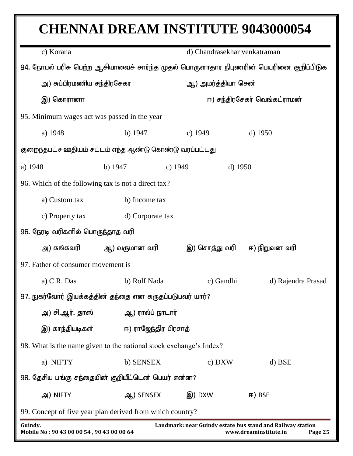| c) Korana                                                          |                      |                    | d) Chandrasekhar venkatraman                                                                   |  |
|--------------------------------------------------------------------|----------------------|--------------------|------------------------------------------------------------------------------------------------|--|
|                                                                    |                      |                    | 94. நோபல் பரிசு பெற்ற ஆசியாவைச் சார்ந்த முதல் பொருளாதார நிபுணரின் பெயரினை குறிப்பிடுக          |  |
| அ) சுப்பிரமணிய சந்திரசேகர                                          |                      | ஆ) அமர்த்தியா சென் |                                                                                                |  |
| இ) கொரானா                                                          |                      |                    | ஈ) சந்திரசேகர் வெங்கட்ராமன்                                                                    |  |
| 95. Minimum wages act was passed in the year                       |                      |                    |                                                                                                |  |
| a) 1948                                                            | b) $1947$            | c) $1949$          | $d)$ 1950                                                                                      |  |
| குறைந்தபட்ச ஊதியம் சட்டம் எந்த ஆண்டு கொண்டு வரப்பட்டது             |                      |                    |                                                                                                |  |
| a) 1948                                                            | b) $1947$            | c) $1949$          | $d)$ 1950                                                                                      |  |
| 96. Which of the following tax is not a direct tax?                |                      |                    |                                                                                                |  |
| a) Custom tax                                                      | b) Income tax        |                    |                                                                                                |  |
| c) Property tax                                                    | d) Corporate tax     |                    |                                                                                                |  |
| 96. நேரடி வரிகளில் பொருந்தாத வரி                                   |                      |                    |                                                                                                |  |
|                                                                    |                      |                    | இ) சொத்து வரி      ஈ) நிறுவன வரி                                                               |  |
| 97. Father of consumer movement is                                 |                      |                    |                                                                                                |  |
| a) C.R. Das                                                        | b) Rolf Nada         |                    | c) Gandhi<br>d) Rajendra Prasad                                                                |  |
| 97. நுகர்வோர் இயக்கத்தின் தந்தை என கருதப்படுபவர் யார்?             |                      |                    |                                                                                                |  |
| அ) சி.ஆர். தாஸ்                                                    | ஆ) ரால்ப் நாடார்     |                    |                                                                                                |  |
| இ) காந்தியடிகள்                                                    | ஈ) ராஜேந்திர பிரசாத் |                    |                                                                                                |  |
| 98. What is the name given to the national stock exchange's Index? |                      |                    |                                                                                                |  |
| a) NIFTY                                                           | b) SENSEX            | c) $DXW$           | d) BSE                                                                                         |  |
| 98. தேசிய பங்கு சந்தையின் குறியீட்டென் பெயர் என்ன?                 |                      |                    |                                                                                                |  |
| அ) NIFTY                                                           | ஆ) SENSEX            | இ) DXW             | ஈ) BSE                                                                                         |  |
| 99. Concept of five year plan derived from which country?          |                      |                    |                                                                                                |  |
| Guindy.<br>Mobile No: 90 43 00 00 54, 90 43 00 00 64               |                      |                    | Landmark: near Guindy estate bus stand and Railway station<br>www.dreaminstitute.in<br>Page 25 |  |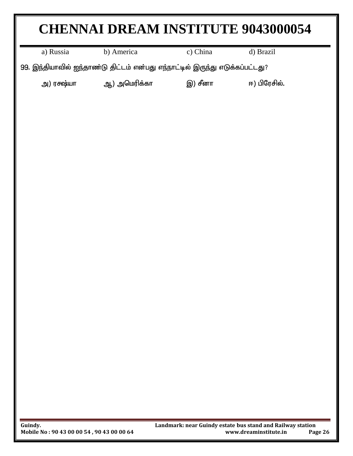| a) Russia  | b) America                                                                   | c) China | d) Brazil                                                  |  |
|------------|------------------------------------------------------------------------------|----------|------------------------------------------------------------|--|
|            | 99. இந்தியாவில் ஐந்தாண்டு திட்டம் என்பது எந்நாட்டில் இருந்து எடுக்கப்பட்டது? |          |                                                            |  |
| அ) ரக்ஷ்யா | ஆ) அமெரிக்கா                                                                 | இ) சீனா  | ஈ) பிரேசில்.                                               |  |
|            |                                                                              |          |                                                            |  |
|            |                                                                              |          |                                                            |  |
|            |                                                                              |          |                                                            |  |
|            |                                                                              |          |                                                            |  |
|            |                                                                              |          |                                                            |  |
|            |                                                                              |          |                                                            |  |
|            |                                                                              |          |                                                            |  |
|            |                                                                              |          |                                                            |  |
|            |                                                                              |          |                                                            |  |
|            |                                                                              |          |                                                            |  |
|            |                                                                              |          |                                                            |  |
|            |                                                                              |          |                                                            |  |
|            |                                                                              |          |                                                            |  |
|            |                                                                              |          |                                                            |  |
|            |                                                                              |          |                                                            |  |
|            |                                                                              |          |                                                            |  |
|            |                                                                              |          |                                                            |  |
|            |                                                                              |          |                                                            |  |
|            |                                                                              |          |                                                            |  |
|            |                                                                              |          |                                                            |  |
|            |                                                                              |          |                                                            |  |
|            |                                                                              |          |                                                            |  |
|            |                                                                              |          |                                                            |  |
|            |                                                                              |          |                                                            |  |
| Cuindy     |                                                                              |          | Landmark: noar Guindy octato hus stand and Railway station |  |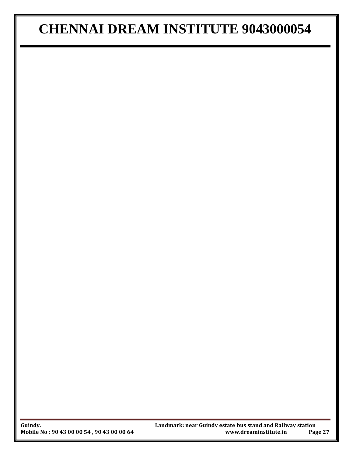**Guindy. Landmark: near Guindy estate bus stand and Railway station Mobile No : 90 43 00 00 54 , 90 43 00 00 64 www.dreaminstitute.in**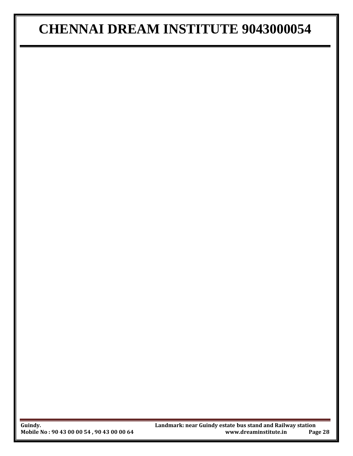**Guindy. Landmark: near Guindy estate bus stand and Railway station Mobile No : 90 43 00 00 54 , 90 43 00 00 64 www.dreaminstitute.in Page 28**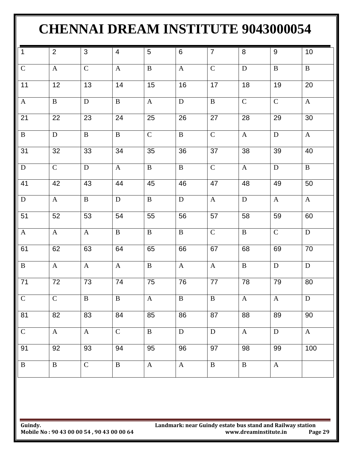| $\overline{1}$ | $\overline{2}$ | 3              | $\overline{4}$  | 5            | 6               | $\overline{7}$  | 8            | 9            | 10                      |
|----------------|----------------|----------------|-----------------|--------------|-----------------|-----------------|--------------|--------------|-------------------------|
|                |                | $\overline{C}$ |                 |              |                 |                 |              | $\, {\bf B}$ |                         |
| $\overline{C}$ | $\mathbf A$    |                | $\bf{A}$        | $\, {\bf B}$ | $\mathbf A$     | $\overline{C}$  | ${\bf D}$    |              | $\overline{\mathbf{B}}$ |
| 11             | 12             | 13             | 14              | 15           | 16              | 17              | 18           | 19           | 20                      |
| $\mathbf{A}$   | $\, {\bf B}$   | $\mathbf D$    | $\, {\bf B} \,$ | $\mathbf{A}$ | ${\bf D}$       | $\, {\bf B} \,$ | $\mathsf{C}$ | ${\bf C}$    | $\mathbf A$             |
| 21             | 22             | 23             | 24              | 25           | 26              | 27              | 28           | 29           | 30                      |
| $\, {\bf B}$   | ${\bf D}$      | $\, {\bf B}$   | $\, {\bf B}$    | ${\bf C}$    | $\, {\bf B}$    | $\mathbf C$     | $\mathbf{A}$ | ${\bf D}$    | $\mathbf{A}$            |
| 31             | 32             | 33             | 34              | 35           | $\overline{36}$ | 37              | 38           | 39           | 40                      |
| $\mathbf D$    | $\overline{C}$ | ${\bf D}$      | $\bf{A}$        | $\, {\bf B}$ | $\, {\bf B}$    | $\overline{C}$  | $\mathbf{A}$ | ${\bf D}$    | $\overline{B}$          |
| 41             | 42             | 43             | 44              | 45           | 46              | 47              | 48           | 49           | 50                      |
| ${\bf D}$      | $\mathbf{A}$   | $\, {\bf B}$   | ${\bf D}$       | $\, {\bf B}$ | ${\bf D}$       | $\bf{A}$        | ${\bf D}$    | $\mathbf{A}$ | $\mathbf{A}$            |
| 51             | 52             | 53             | 54              | 55           | 56              | 57              | 58           | 59           | 60                      |
| $\mathbf{A}$   | $\mathbf{A}$   | $\mathbf{A}$   | $\, {\bf B} \,$ | $\bf{B}$     | $\, {\bf B}$    | $\mathbf C$     | $\, {\bf B}$ | ${\bf C}$    | ${\bf D}$               |
| 61             | 62             | 63             | 64              | 65           | 66              | 67              | 68           | 69           | 70                      |
| $\, {\bf B}$   | $\mathbf{A}$   | $\mathbf{A}$   | $\bf{A}$        | $\, {\bf B}$ | $\mathbf{A}$    | $\mathbf{A}$    | $\, {\bf B}$ | ${\bf D}$    | ${\bf D}$               |
| 71             | $72\,$         | 73             | 74              | 75           | 76              | 77              | 78           | 79           | 80                      |
| $\mathbf C$    | $\mathbf C$    | $\, {\bf B}$   | $\, {\bf B}$    | $\mathbf{A}$ | $\, {\bf B}$    | $\, {\bf B}$    | $\mathbf{A}$ | $\mathbf{A}$ | ${\bf D}$               |
| 81             | 82             | 83             | 84              | 85           | 86              | 87              | 88           | 89           | $90\,$                  |
| $\overline{C}$ | $\mathbf A$    | $\mathbf{A}$   | $\mathsf{C}$    | $\, {\bf B}$ | ${\bf D}$       | ${\bf D}$       | $\bf{A}$     | ${\bf D}$    | $\bf{A}$                |
| 91             | 92             | 93             | 94              | 95           | 96              | 97              | 98           | 99           | 100                     |
| $\, {\bf B}$   | $\overline{B}$ | $\overline{C}$ | $\overline{B}$  | $\mathbf{A}$ | $\mathbf A$     | $\overline{B}$  | $\, {\bf B}$ | $\mathbf A$  |                         |